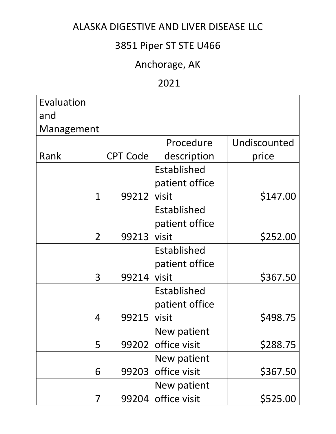# 3851 Piper ST STE U466

# Anchorage, AK

#### 2021

| Evaluation<br>and |                 |                |              |
|-------------------|-----------------|----------------|--------------|
| Management        |                 |                |              |
|                   |                 | Procedure      | Undiscounted |
| Rank              | <b>CPT Code</b> | description    | price        |
|                   |                 | Established    |              |
|                   |                 | patient office |              |
| 1                 | 99212           | visit          | \$147.00     |
|                   |                 | Established    |              |
|                   |                 | patient office |              |
| $\overline{2}$    | 99213           | visit          | \$252.00     |
|                   |                 | Established    |              |
|                   |                 | patient office |              |
| 3                 | 99214           | visit          | \$367.50     |
|                   |                 | Established    |              |
|                   |                 | patient office |              |
| 4                 | 99215           | visit          | \$498.75     |
|                   |                 | New patient    |              |
| 5                 | 99202           | office visit   | \$288.75     |
|                   |                 | New patient    |              |
| 6                 | 99203           | office visit   | \$367.50     |
|                   |                 | New patient    |              |
| 7                 | 99204           | office visit   | \$525.00     |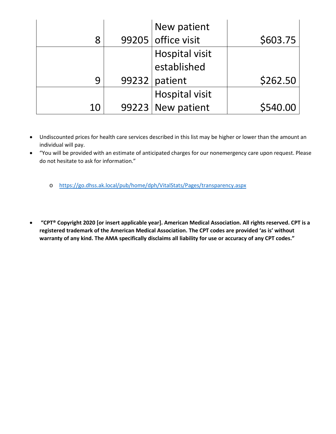|    | New patient        |          |
|----|--------------------|----------|
| 8  | 99205 office visit | \$603.75 |
|    | Hospital visit     |          |
|    | established        |          |
| 9  | $99232$ patient    | \$262.50 |
|    | Hospital visit     |          |
| 10 | 99223 New patient  | \$540.00 |

- Undiscounted prices for health care services described in this list may be higher or lower than the amount an individual will pay.
- "You will be provided with an estimate of anticipated charges for our nonemergency care upon request. Please do not hesitate to ask for information."
	- o <https://go.dhss.ak.local/pub/home/dph/VitalStats/Pages/transparency.aspx>
- **"CPT® Copyright 2020 [or insert applicable year]. American Medical Association. All rights reserved. CPT is a registered trademark of the American Medical Association. The CPT codes are provided 'as is' without warranty of any kind. The AMA specifically disclaims all liability for use or accuracy of any CPT codes."**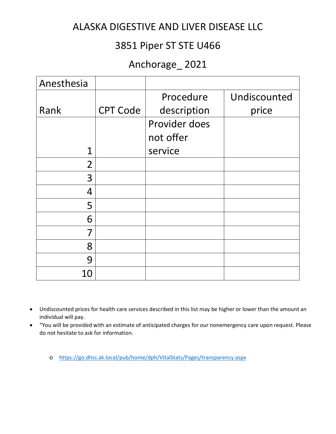#### 3851 Piper ST STE U466

## Anchorage\_ 2021

| Anesthesia     |                 |               |              |
|----------------|-----------------|---------------|--------------|
|                |                 | Procedure     | Undiscounted |
| Rank           | <b>CPT Code</b> | description   | price        |
|                |                 | Provider does |              |
|                |                 | not offer     |              |
| 1              |                 | service       |              |
| $\overline{2}$ |                 |               |              |
| 3              |                 |               |              |
| 4              |                 |               |              |
| 5              |                 |               |              |
| 6              |                 |               |              |
| 7              |                 |               |              |
| 8              |                 |               |              |
| 9              |                 |               |              |
| 10             |                 |               |              |

- Undiscounted prices for health care services described in this list may be higher or lower than the amount an individual will pay.
- "You will be provided with an estimate of anticipated charges for our nonemergency care upon request. Please do not hesitate to ask for information.
	- o <https://go.dhss.ak.local/pub/home/dph/VitalStats/Pages/transparency.aspx>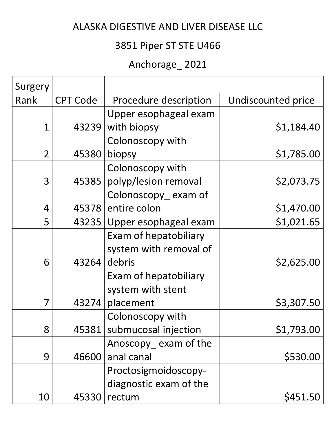# 3851 Piper ST STE U466

# Anchorage\_ 2021

| Surgery        |                 |                        |                    |
|----------------|-----------------|------------------------|--------------------|
| Rank           | <b>CPT Code</b> | Procedure description  | Undiscounted price |
|                |                 | Upper esophageal exam  |                    |
| $\overline{1}$ | 43239           | with biopsy            | \$1,184.40         |
|                |                 | Colonoscopy with       |                    |
| $\overline{2}$ | 45380           | biopsy                 | \$1,785.00         |
|                |                 | Colonoscopy with       |                    |
| 3              | 45385           | polyp/lesion removal   | \$2,073.75         |
|                |                 | Colonoscopy exam of    |                    |
| 4              |                 | 45378 entire colon     | \$1,470.00         |
| 5              | 43235           | Upper esophageal exam  | \$1,021.65         |
|                |                 | Exam of hepatobiliary  |                    |
|                |                 | system with removal of |                    |
| 6              | 43264           | debris                 | \$2,625.00         |
|                |                 | Exam of hepatobiliary  |                    |
|                |                 | system with stent      |                    |
| 7              | 43274           | placement              | \$3,307.50         |
|                |                 | Colonoscopy with       |                    |
| 8              | 45381           | submucosal injection   | \$1,793.00         |
|                |                 | Anoscopy exam of the   |                    |
| 9              | 46600           | anal canal             | \$530.00           |
|                |                 | Proctosigmoidoscopy-   |                    |
|                |                 | diagnostic exam of the |                    |
| 10             | 45330           | rectum                 | \$451.50           |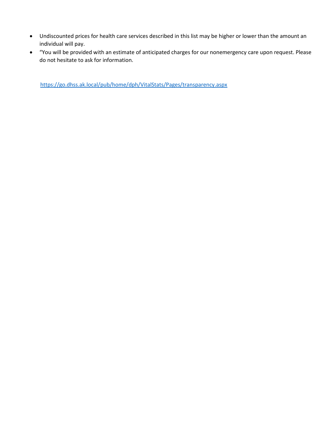- Undiscounted prices for health care services described in this list may be higher or lower than the amount an individual will pay.
- "You will be provided with an estimate of anticipated charges for our nonemergency care upon request. Please do not hesitate to ask for information.

<https://go.dhss.ak.local/pub/home/dph/VitalStats/Pages/transparency.aspx>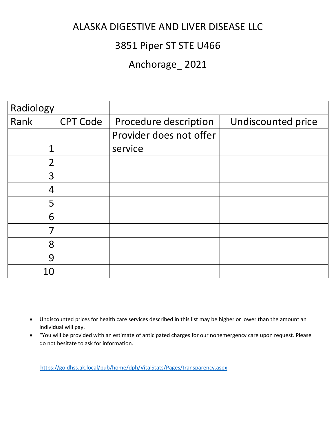## 3851 Piper ST STE U466

## Anchorage\_ 2021

| Radiology      |                 |                         |                    |
|----------------|-----------------|-------------------------|--------------------|
| Rank           | <b>CPT Code</b> | Procedure description   | Undiscounted price |
|                |                 | Provider does not offer |                    |
| 1              |                 | service                 |                    |
| $\overline{2}$ |                 |                         |                    |
| 3              |                 |                         |                    |
| 4              |                 |                         |                    |
| 5              |                 |                         |                    |
| 6              |                 |                         |                    |
| 7              |                 |                         |                    |
| 8              |                 |                         |                    |
| 9              |                 |                         |                    |
| 10             |                 |                         |                    |

- Undiscounted prices for health care services described in this list may be higher or lower than the amount an individual will pay.
- "You will be provided with an estimate of anticipated charges for our nonemergency care upon request. Please do not hesitate to ask for information.

<https://go.dhss.ak.local/pub/home/dph/VitalStats/Pages/transparency.aspx>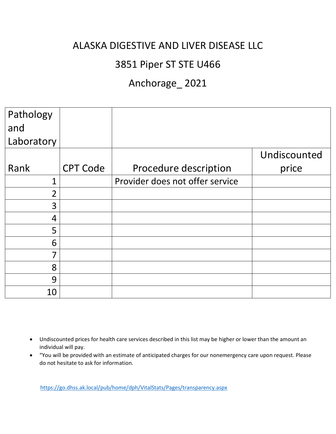## 3851 Piper ST STE U466

## Anchorage\_ 2021

| Pathology<br>and |                 |                                 |              |
|------------------|-----------------|---------------------------------|--------------|
| Laboratory       |                 |                                 |              |
|                  |                 |                                 | Undiscounted |
| Rank             | <b>CPT Code</b> | Procedure description           | price        |
| 1                |                 | Provider does not offer service |              |
| $\overline{2}$   |                 |                                 |              |
| 3                |                 |                                 |              |
| 4                |                 |                                 |              |
| 5                |                 |                                 |              |
| 6                |                 |                                 |              |
| 7                |                 |                                 |              |
| 8                |                 |                                 |              |
| 9                |                 |                                 |              |
| 10               |                 |                                 |              |

- Undiscounted prices for health care services described in this list may be higher or lower than the amount an individual will pay.
- "You will be provided with an estimate of anticipated charges for our nonemergency care upon request. Please do not hesitate to ask for information.

<https://go.dhss.ak.local/pub/home/dph/VitalStats/Pages/transparency.aspx>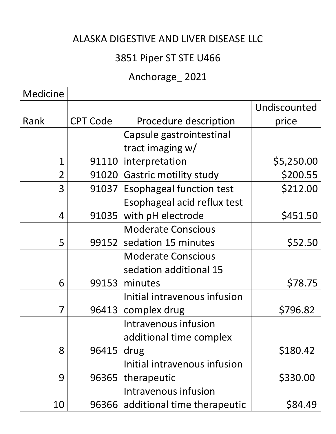# 3851 Piper ST STE U466

# Anchorage\_ 2021

| <b>Medicine</b> |                 |                                 |              |
|-----------------|-----------------|---------------------------------|--------------|
|                 |                 |                                 | Undiscounted |
| Rank            | <b>CPT Code</b> | Procedure description           | price        |
|                 |                 | Capsule gastrointestinal        |              |
|                 |                 | tract imaging w/                |              |
| $\overline{1}$  | 91110           | interpretation                  | \$5,250.00   |
| $\overline{2}$  | 91020           | <b>Gastric motility study</b>   | \$200.55     |
| 3               | 91037           | <b>Esophageal function test</b> | \$212.00     |
|                 |                 | Esophageal acid reflux test     |              |
| $\overline{4}$  | 91035           | with pH electrode               | \$451.50     |
|                 |                 | <b>Moderate Conscious</b>       |              |
| 5               | 99152           | sedation 15 minutes             | \$52.50      |
|                 |                 | <b>Moderate Conscious</b>       |              |
|                 |                 | sedation additional 15          |              |
| 6               | 99153           | minutes                         | \$78.75      |
|                 |                 | Initial intravenous infusion    |              |
| 7               | 96413           | complex drug                    | \$796.82     |
|                 |                 | Intravenous infusion            |              |
|                 |                 | additional time complex         |              |
| 8               | 96415           | drug                            | \$180.42     |
|                 |                 | Initial intravenous infusion    |              |
| 9               | 96365           | therapeutic                     | \$330.00     |
|                 |                 | Intravenous infusion            |              |
| 10              | 96366           | additional time therapeutic     | \$84.49      |